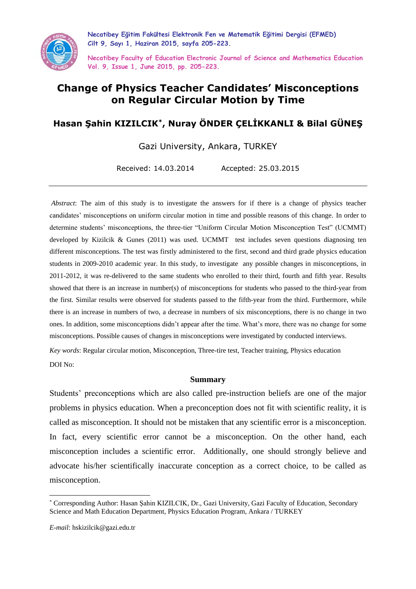

**Necatibey Eğitim Fakültesi Elektronik Fen ve Matematik Eğitimi Dergisi (EFMED) Cilt 9, Sayı 1, Haziran 2015, sayfa 205-223.**

**Necatibey Faculty of Education Electronic Journal of Science and Mathematics Education Vol. 9, Issue 1, June 2015, pp. 205-223.**

## **Change of Physics Teacher Candidates' Misconceptions on Regular Circular Motion by Time**

## **Hasan Şahin KIZILCIK\*, Nuray ÖNDER ÇELİKKANLI & Bilal GÜNEŞ**

Gazi University, Ankara, TURKEY

Received: 14.03.2014 Accepted: 25.03.2015

*Abstract*: The aim of this study is to investigate the answers for if there is a change of physics teacher candidates' misconceptions on uniform circular motion in time and possible reasons of this change. In order to determine students' misconceptions, the three-tier "Uniform Circular Motion Misconception Test" (UCMMT) developed by Kizilcik & Gunes (2011) was used. UCMMT test includes seven questions diagnosing ten different misconceptions. The test was firstly administered to the first, second and third grade physics education students in 2009-2010 academic year. In this study, to investigate any possible changes in misconceptions, in 2011-2012, it was re-delivered to the same students who enrolled to their third, fourth and fifth year. Results showed that there is an increase in number(s) of misconceptions for students who passed to the third-year from the first. Similar results were observed for students passed to the fifth-year from the third. Furthermore, while there is an increase in numbers of two, a decrease in numbers of six misconceptions, there is no change in two ones. In addition, some misconceptions didn't appear after the time. What's more, there was no change for some misconceptions. Possible causes of changes in misconceptions were investigated by conducted interviews.

*Key words*: Regular circular motion, Misconception, Three-tire test, Teacher training, Physics education DOI No:

#### **Summary**

Students' preconceptions which are also called pre-instruction beliefs are one of the major problems in physics education. When a preconception does not fit with scientific reality, it is called as misconception. It should not be mistaken that any scientific error is a misconception. In fact, every scientific error cannot be a misconception. On the other hand, each misconception includes a scientific error. Additionally, one should strongly believe and advocate his/her scientifically inaccurate conception as a correct choice, to be called as misconception.

1

<sup>\*</sup> Corresponding Author: Hasan Şahin KIZILCIK, Dr., Gazi University, Gazi Faculty of Education, Secondary Science and Math Education Department, Physics Education Program, Ankara / TURKEY

*E*-*mail*: hskizilcik@gazi.edu.tr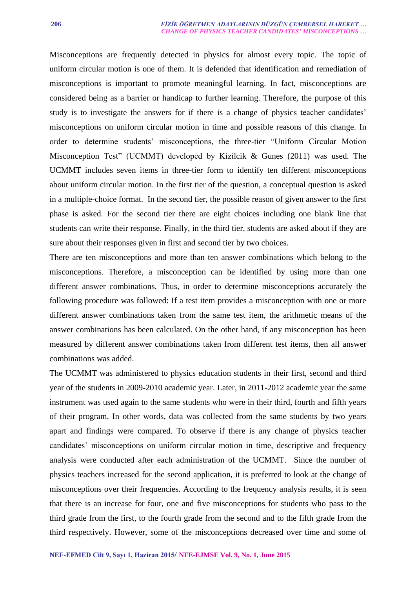#### **206** *FİZİK ÖĞRETMEN ADAYLARININ DÜZGÜN ÇEMBERSEL HAREKET … CHANGE OF PHYSICS TEACHER CANDIDATES' MISCONCEPTIONS …*

Misconceptions are frequently detected in physics for almost every topic. The topic of uniform circular motion is one of them. It is defended that identification and remediation of misconceptions is important to promote meaningful learning. In fact, misconceptions are considered being as a barrier or handicap to further learning. Therefore, the purpose of this study is to investigate the answers for if there is a change of physics teacher candidates' misconceptions on uniform circular motion in time and possible reasons of this change. In order to determine students' misconceptions, the three-tier "Uniform Circular Motion Misconception Test" (UCMMT) developed by Kizilcik & Gunes (2011) was used. The UCMMT includes seven items in three-tier form to identify ten different misconceptions about uniform circular motion. In the first tier of the question, a conceptual question is asked in a multiple-choice format. In the second tier, the possible reason of given answer to the first phase is asked. For the second tier there are eight choices including one blank line that students can write their response. Finally, in the third tier, students are asked about if they are sure about their responses given in first and second tier by two choices.

There are ten misconceptions and more than ten answer combinations which belong to the misconceptions. Therefore, a misconception can be identified by using more than one different answer combinations. Thus, in order to determine misconceptions accurately the following procedure was followed: If a test item provides a misconception with one or more different answer combinations taken from the same test item, the arithmetic means of the answer combinations has been calculated. On the other hand, if any misconception has been measured by different answer combinations taken from different test items, then all answer combinations was added.

The UCMMT was administered to physics education students in their first, second and third year of the students in 2009-2010 academic year. Later, in 2011-2012 academic year the same instrument was used again to the same students who were in their third, fourth and fifth years of their program. In other words, data was collected from the same students by two years apart and findings were compared. To observe if there is any change of physics teacher candidates' misconceptions on uniform circular motion in time, descriptive and frequency analysis were conducted after each administration of the UCMMT. Since the number of physics teachers increased for the second application, it is preferred to look at the change of misconceptions over their frequencies. According to the frequency analysis results, it is seen that there is an increase for four, one and five misconceptions for students who pass to the third grade from the first, to the fourth grade from the second and to the fifth grade from the third respectively. However, some of the misconceptions decreased over time and some of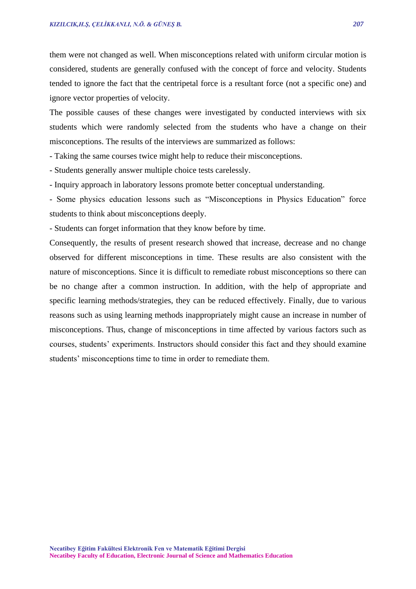them were not changed as well. When misconceptions related with uniform circular motion is considered, students are generally confused with the concept of force and velocity. Students tended to ignore the fact that the centripetal force is a resultant force (not a specific one) and ignore vector properties of velocity.

The possible causes of these changes were investigated by conducted interviews with six students which were randomly selected from the students who have a change on their misconceptions. The results of the interviews are summarized as follows:

- Taking the same courses twice might help to reduce their misconceptions.

- Students generally answer multiple choice tests carelessly.

- Inquiry approach in laboratory lessons promote better conceptual understanding.

- Some physics education lessons such as "Misconceptions in Physics Education" force students to think about misconceptions deeply.

- Students can forget information that they know before by time.

Consequently, the results of present research showed that increase, decrease and no change observed for different misconceptions in time. These results are also consistent with the nature of misconceptions. Since it is difficult to remediate robust misconceptions so there can be no change after a common instruction. In addition, with the help of appropriate and specific learning methods/strategies, they can be reduced effectively. Finally, due to various reasons such as using learning methods inappropriately might cause an increase in number of misconceptions. Thus, change of misconceptions in time affected by various factors such as courses, students' experiments. Instructors should consider this fact and they should examine students' misconceptions time to time in order to remediate them.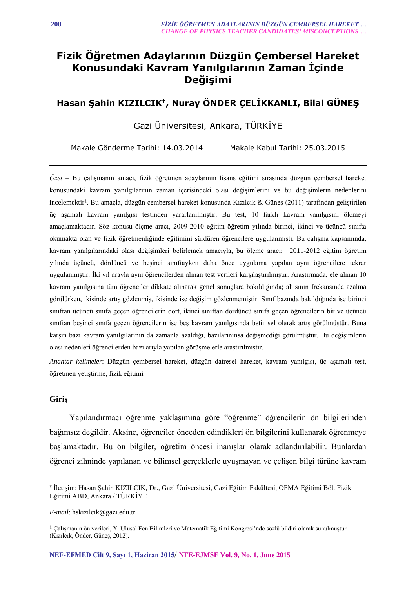# **Fizik Öğretmen Adaylarının Düzgün Çembersel Hareket Konusundaki Kavram Yanılgılarının Zaman İçinde Değişimi**

## **Hasan Şahin KIZILCIK†, Nuray ÖNDER ÇELİKKANLI, Bilal GÜNEŞ**

### Gazi Üniversitesi, Ankara, TÜRKİYE

Makale Gönderme Tarihi: 14.03.2014 Makale Kabul Tarihi: 25.03.2015

*Özet* – Bu çalışmanın amacı, fizik öğretmen adaylarının lisans eğitimi sırasında düzgün çembersel hareket konusundaki kavram yanılgılarının zaman içerisindeki olası değişimlerini ve bu değişimlerin nedenlerini incelemektir‡ . Bu amaçla, düzgün çembersel hareket konusunda Kızılcık & Güneş (2011) tarafından geliştirilen üç aşamalı kavram yanılgısı testinden yararlanılmıştır. Bu test, 10 farklı kavram yanılgısını ölçmeyi amaçlamaktadır. Söz konusu ölçme aracı, 2009-2010 eğitim öğretim yılında birinci, ikinci ve üçüncü sınıfta okumakta olan ve fizik öğretmenliğinde eğitimini sürdüren öğrencilere uygulanmıştı. Bu çalışma kapsamında, kavram yanılgılarındaki olası değişimleri belirlemek amacıyla, bu ölçme aracı; 2011-2012 eğitim öğretim yılında üçüncü, dördüncü ve beşinci sınıftayken daha önce uygulama yapılan aynı öğrencilere tekrar uygulanmıştır. İki yıl arayla aynı öğrencilerden alınan test verileri karşılaştırılmıştır. Araştırmada, ele alınan 10 kavram yanılgısına tüm öğrenciler dikkate alınarak genel sonuçlara bakıldığında; altısının frekansında azalma görülürken, ikisinde artış gözlenmiş, ikisinde ise değişim gözlenmemiştir. Sınıf bazında bakıldığında ise birinci sınıftan üçüncü sınıfa geçen öğrencilerin dört, ikinci sınıftan dördüncü sınıfa geçen öğrencilerin bir ve üçüncü sınıftan beşinci sınıfa geçen öğrencilerin ise beş kavram yanılgısında betimsel olarak artış görülmüştür. Buna karşın bazı kavram yanılgılarının da zamanla azaldığı, bazılarınınsa değişmediği görülmüştür. Bu değişimlerin olası nedenleri öğrencilerden bazılarıyla yapılan görüşmelerle araştırılmıştır.

*Anahtar kelimeler*: Düzgün çembersel hareket, düzgün dairesel hareket, kavram yanılgısı, üç aşamalı test, öğretmen yetiştirme, fizik eğitimi

#### **Giriş**

1

Yapılandırmacı öğrenme yaklaşımına göre "öğrenme" öğrencilerin ön bilgilerinden bağımsız değildir. Aksine, öğrenciler önceden edindikleri ön bilgilerini kullanarak öğrenmeye başlamaktadır. Bu ön bilgiler, öğretim öncesi inanışlar olarak adlandırılabilir. Bunlardan öğrenci zihninde yapılanan ve bilimsel gerçeklerle uyuşmayan ve çelişen bilgi türüne kavram

<sup>†</sup> İletişim: Hasan Şahin KIZILCIK, Dr., Gazi Üniversitesi, Gazi Eğitim Fakültesi, OFMA Eğitimi Böl. Fizik Eğitimi ABD, Ankara / TÜRKİYE

*E*-*mail*: hskizilcik@gazi.edu.tr

<sup>‡</sup> Çalışmanın ön verileri, X. Ulusal Fen Bilimleri ve Matematik Eğitimi Kongresi'nde sözlü bildiri olarak sunulmuştur (Kızılcık, Önder, Güneş, 2012).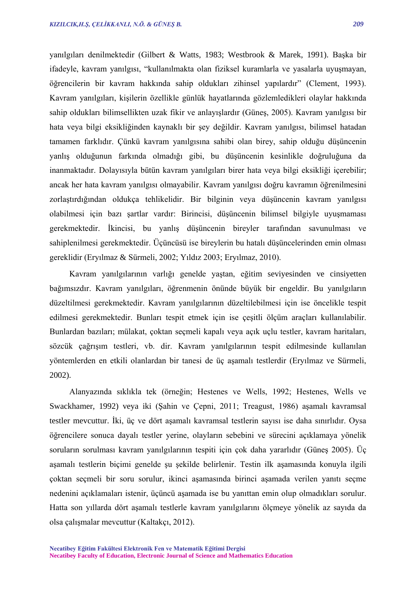yanılgıları denilmektedir (Gilbert & Watts, 1983; Westbrook & Marek, 1991). Başka bir ifadeyle, kavram yanılgısı, "kullanılmakta olan fiziksel kuramlarla ve yasalarla uyuşmayan, öğrencilerin bir kavram hakkında sahip oldukları zihinsel yapılardır" (Clement, 1993). Kavram yanılgıları, kişilerin özellikle günlük hayatlarında gözlemledikleri olaylar hakkında sahip oldukları bilimsellikten uzak fikir ve anlayışlardır (Güneş, 2005). Kavram yanılgısı bir hata veya bilgi eksikliğinden kaynaklı bir şey değildir. Kavram yanılgısı, bilimsel hatadan tamamen farklıdır. Çünkü kavram yanılgısına sahibi olan birey, sahip olduğu düşüncenin yanlış olduğunun farkında olmadığı gibi, bu düşüncenin kesinlikle doğruluğuna da inanmaktadır. Dolayısıyla bütün kavram yanılgıları birer hata veya bilgi eksikliği içerebilir; ancak her hata kavram yanılgısı olmayabilir. Kavram yanılgısı doğru kavramın öğrenilmesini zorlaştırdığından oldukça tehlikelidir. Bir bilginin veya düşüncenin kavram yanılgısı olabilmesi için bazı şartlar vardır: Birincisi, düşüncenin bilimsel bilgiyle uyuşmaması gerekmektedir. İkincisi, bu yanlış düşüncenin bireyler tarafından savunulması ve sahiplenilmesi gerekmektedir. Üçüncüsü ise bireylerin bu hatalı düşüncelerinden emin olması gereklidir (Eryılmaz & Sürmeli, 2002; Yıldız 2003; Eryılmaz, 2010).

Kavram yanılgılarının varlığı genelde yaştan, eğitim seviyesinden ve cinsiyetten bağımsızdır. Kavram yanılgıları, öğrenmenin önünde büyük bir engeldir. Bu yanılgıların düzeltilmesi gerekmektedir. Kavram yanılgılarının düzeltilebilmesi için ise öncelikle tespit edilmesi gerekmektedir. Bunları tespit etmek için ise çeşitli ölçüm araçları kullanılabilir. Bunlardan bazıları; mülakat, çoktan seçmeli kapalı veya açık uçlu testler, kavram haritaları, sözcük çağrışım testleri, vb. dir. Kavram yanılgılarının tespit edilmesinde kullanılan yöntemlerden en etkili olanlardan bir tanesi de üç aşamalı testlerdir (Eryılmaz ve Sürmeli, 2002).

Alanyazında sıklıkla tek (örneğin; Hestenes ve Wells, 1992; Hestenes, Wells ve Swackhamer, 1992) veya iki (Şahin ve Çepni, 2011; Treagust, 1986) aşamalı kavramsal testler mevcuttur. İki, üç ve dört aşamalı kavramsal testlerin sayısı ise daha sınırlıdır. Oysa öğrencilere sonuca dayalı testler yerine, olayların sebebini ve sürecini açıklamaya yönelik soruların sorulması kavram yanılgılarının tespiti için çok daha yararlıdır (Güneş 2005). Üç aşamalı testlerin biçimi genelde şu şekilde belirlenir. Testin ilk aşamasında konuyla ilgili çoktan seçmeli bir soru sorulur, ikinci aşamasında birinci aşamada verilen yanıtı seçme nedenini açıklamaları istenir, üçüncü aşamada ise bu yanıttan emin olup olmadıkları sorulur. Hatta son yıllarda dört aşamalı testlerle kavram yanılgılarını ölçmeye yönelik az sayıda da olsa çalışmalar mevcuttur (Kaltakçı, 2012).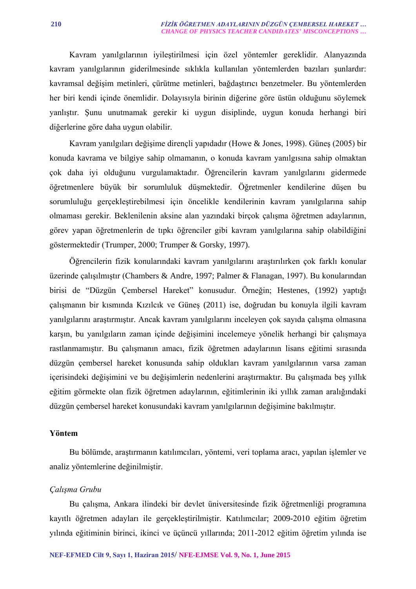Kavram yanılgılarının iyileştirilmesi için özel yöntemler gereklidir. Alanyazında kavram yanılgılarının giderilmesinde sıklıkla kullanılan yöntemlerden bazıları şunlardır: kavramsal değişim metinleri, çürütme metinleri, bağdaştırıcı benzetmeler. Bu yöntemlerden her biri kendi içinde önemlidir. Dolayısıyla birinin diğerine göre üstün olduğunu söylemek yanlıştır. Şunu unutmamak gerekir ki uygun disiplinde, uygun konuda herhangi biri diğerlerine göre daha uygun olabilir.

Kavram yanılgıları değişime dirençli yapıdadır (Howe & Jones, 1998). Güneş (2005) bir konuda kavrama ve bilgiye sahip olmamanın, o konuda kavram yanılgısına sahip olmaktan çok daha iyi olduğunu vurgulamaktadır. Öğrencilerin kavram yanılgılarını gidermede öğretmenlere büyük bir sorumluluk düşmektedir. Öğretmenler kendilerine düşen bu sorumluluğu gerçekleştirebilmesi için öncelikle kendilerinin kavram yanılgılarına sahip olmaması gerekir. Beklenilenin aksine alan yazındaki birçok çalışma öğretmen adaylarının, görev yapan öğretmenlerin de tıpkı öğrenciler gibi kavram yanılgılarına sahip olabildiğini göstermektedir (Trumper, 2000; Trumper & Gorsky, 1997).

Öğrencilerin fizik konularındaki kavram yanılgılarını araştırılırken çok farklı konular üzerinde çalışılmıştır (Chambers & Andre, 1997; Palmer & Flanagan, 1997). Bu konularından birisi de "Düzgün Çembersel Hareket" konusudur. Örneğin; Hestenes, (1992) yaptığı çalışmanın bir kısmında Kızılcık ve Güneş (2011) ise, doğrudan bu konuyla ilgili kavram yanılgılarını araştırmıştır. Ancak kavram yanılgılarını inceleyen çok sayıda çalışma olmasına karşın, bu yanılgıların zaman içinde değişimini incelemeye yönelik herhangi bir çalışmaya rastlanmamıştır. Bu çalışmanın amacı, fizik öğretmen adaylarının lisans eğitimi sırasında düzgün çembersel hareket konusunda sahip oldukları kavram yanılgılarının varsa zaman içerisindeki değişimini ve bu değişimlerin nedenlerini araştırmaktır. Bu çalışmada beş yıllık eğitim görmekte olan fizik öğretmen adaylarının, eğitimlerinin iki yıllık zaman aralığındaki düzgün çembersel hareket konusundaki kavram yanılgılarının değişimine bakılmıştır.

#### **Yöntem**

Bu bölümde, araştırmanın katılımcıları, yöntemi, veri toplama aracı, yapılan işlemler ve analiz yöntemlerine değinilmiştir.

#### *Çalışma Grubu*

Bu çalışma, Ankara ilindeki bir devlet üniversitesinde fizik öğretmenliği programına kayıtlı öğretmen adayları ile gerçekleştirilmiştir. Katılımcılar; 2009-2010 eğitim öğretim yılında eğitiminin birinci, ikinci ve üçüncü yıllarında; 2011-2012 eğitim öğretim yılında ise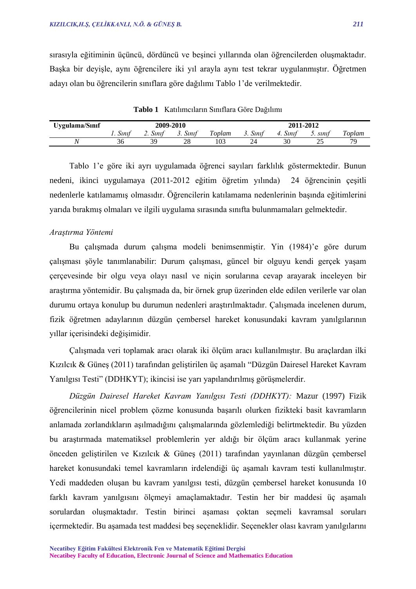sırasıyla eğitiminin üçüncü, dördüncü ve beşinci yıllarında olan öğrencilerden oluşmaktadır. Başka bir deyişle, aynı öğrencilere iki yıl arayla aynı test tekrar uygulanmıştır. Öğretmen adayı olan bu öğrencilerin sınıflara göre dağılımı Tablo 1'de verilmektedir.

| Uygulama/Sınıf |          | 2009-2010 |                 |       | 2011-2012   |          |             |             |  |  |
|----------------|----------|-----------|-----------------|-------|-------------|----------|-------------|-------------|--|--|
|                | 1. Sinit | 2. Sinit  | $\sim$<br>Sinit | oplam | Sinit<br>J. | t. Sinit | sinit<br>J. | ᠇᠇<br>oplam |  |  |
| N<br>. .       | 30       | 39<br>ر ر | 28              | 103   | 24          | эu       | ∼           | 70          |  |  |

**Tablo 1** Katılımcıların Sınıflara Göre Dağılımı

Tablo 1'e göre iki ayrı uygulamada öğrenci sayıları farklılık göstermektedir. Bunun nedeni, ikinci uygulamaya (2011-2012 eğitim öğretim yılında) 24 öğrencinin çeşitli nedenlerle katılamamış olmasıdır. Öğrencilerin katılamama nedenlerinin başında eğitimlerini yarıda bırakmış olmaları ve ilgili uygulama sırasında sınıfta bulunmamaları gelmektedir.

#### *Araştırma Yöntemi*

Bu çalışmada durum çalışma modeli benimsenmiştir. Yin (1984)'e göre durum çalışması şöyle tanımlanabilir: Durum çalışması, güncel bir olguyu kendi gerçek yaşam çerçevesinde bir olgu veya olayı nasıl ve niçin sorularına cevap arayarak inceleyen bir araştırma yöntemidir. Bu çalışmada da, bir örnek grup üzerinden elde edilen verilerle var olan durumu ortaya konulup bu durumun nedenleri araştırılmaktadır. Çalışmada incelenen durum, fizik öğretmen adaylarının düzgün çembersel hareket konusundaki kavram yanılgılarının yıllar içerisindeki değişimidir.

Çalışmada veri toplamak aracı olarak iki ölçüm aracı kullanılmıştır. Bu araçlardan ilki Kızılcık & Güneş (2011) tarafından geliştirilen üç aşamalı "Düzgün Dairesel Hareket Kavram Yanılgısı Testi" (DDHKYT); ikincisi ise yarı yapılandırılmış görüşmelerdir.

*Düzgün Dairesel Hareket Kavram Yanılgısı Testi (DDHKYT):* Mazur (1997) Fizik öğrencilerinin nicel problem çözme konusunda başarılı olurken fizikteki basit kavramların anlamada zorlandıkların aşılmadığını çalışmalarında gözlemlediği belirtmektedir. Bu yüzden bu araştırmada matematiksel problemlerin yer aldığı bir ölçüm aracı kullanmak yerine önceden geliştirilen ve Kızılcık & Güneş (2011) tarafından yayınlanan düzgün çembersel hareket konusundaki temel kavramların irdelendiği üç aşamalı kavram testi kullanılmıştır. Yedi maddeden oluşan bu kavram yanılgısı testi, düzgün çembersel hareket konusunda 10 farklı kavram yanılgısını ölçmeyi amaçlamaktadır. Testin her bir maddesi üç aşamalı sorulardan oluşmaktadır. Testin birinci aşaması çoktan seçmeli kavramsal soruları içermektedir. Bu aşamada test maddesi beş seçeneklidir. Seçenekler olası kavram yanılgılarını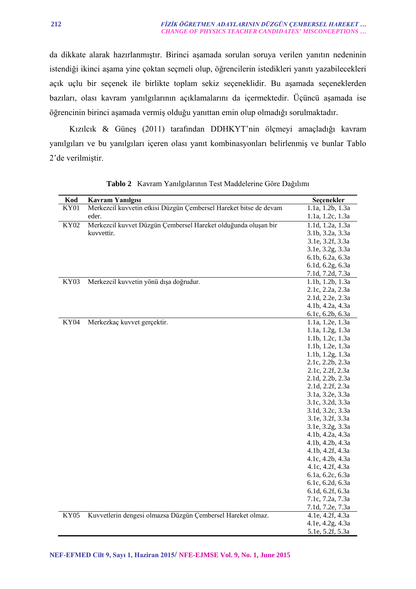da dikkate alarak hazırlanmıştır. Birinci aşamada sorulan soruya verilen yanıtın nedeninin istendiği ikinci aşama yine çoktan seçmeli olup, öğrencilerin istedikleri yanıtı yazabilecekleri açık uçlu bir seçenek ile birlikte toplam sekiz seçeneklidir. Bu aşamada seçeneklerden bazıları, olası kavram yanılgılarının açıklamalarını da içermektedir. Üçüncü aşamada ise öğrencinin birinci aşamada vermiş olduğu yanıttan emin olup olmadığı sorulmaktadır.

Kızılcık & Güneş (2011) tarafından DDHKYT'nin ölçmeyi amaçladığı kavram yanılgıları ve bu yanılgıları içeren olası yanıt kombinasyonları belirlenmiş ve bunlar Tablo 2'de verilmiştir.

| Kod         | <b>Kavram Yanılgısı</b>                                           | Seçenekler                           |
|-------------|-------------------------------------------------------------------|--------------------------------------|
| KY01        | Merkezcil kuvvetin etkisi Düzgün Çembersel Hareket bitse de devam | 1.1a, 1.2b, 1.3a                     |
|             | eder.                                                             | 1.1a, 1.2c, 1.3a                     |
| <b>KY02</b> | Merkezcil kuvvet Düzgün Çembersel Hareket olduğunda oluşan bir    | 1.1d, 1.2a, 1.3a                     |
|             | kuvvettir.                                                        | 3.1b, 3.2a, 3.3a                     |
|             |                                                                   | 3.1e, 3.2f, 3.3a                     |
|             |                                                                   | 3.1e, 3.2g, 3.3a                     |
|             |                                                                   | 6.1b, 6.2a, 6.3a                     |
|             |                                                                   | 6.1d, 6.2g, 6.3a                     |
|             |                                                                   | 7.1d, 7.2d, 7.3a                     |
| KY03        | Merkezcil kuvvetin yönü dışa doğrudur.                            | 1.1b, 1.2b, 1.3a                     |
|             |                                                                   | 2.1c, 2.2a, 2.3a                     |
|             |                                                                   | 2.1d, 2.2e, 2.3a                     |
|             |                                                                   | 4.1b, 4.2a, 4.3a                     |
|             |                                                                   | 6.1c, 6.2b, 6.3a                     |
| <b>KY04</b> | Merkezkaç kuvvet gerçektir.                                       | 1.1a, 1.2e, 1.3a                     |
|             |                                                                   | 1.1a, 1.2g, 1.3a                     |
|             |                                                                   | 1.1b, 1.2c, 1.3a                     |
|             |                                                                   | 1.1b, 1.2e, 1.3a                     |
|             |                                                                   | 1.1b, 1.2g, 1.3a                     |
|             |                                                                   | 2.1c, 2.2b, 2.3a                     |
|             |                                                                   | 2.1c, 2.2f, 2.3a                     |
|             |                                                                   | 2.1d, 2.2b, 2.3a                     |
|             |                                                                   | 2.1d, 2.2f, 2.3a                     |
|             |                                                                   | 3.1a, 3.2e, 3.3a                     |
|             |                                                                   | 3.1c, 3.2d, 3.3a                     |
|             |                                                                   | 3.1d, 3.2c, 3.3a                     |
|             |                                                                   | 3.1e, 3.2f, 3.3a                     |
|             |                                                                   | 3.1e, 3.2g, 3.3a                     |
|             |                                                                   | 4.1b, 4.2a, 4.3a                     |
|             |                                                                   | 4.1b, 4.2b, 4.3a<br>4.1b, 4.2f, 4.3a |
|             |                                                                   | 4.1c, 4.2b, 4.3a                     |
|             |                                                                   | 4.1c, 4.2f, 4.3a                     |
|             |                                                                   | 6.1a, 6.2c, 6.3a                     |
|             |                                                                   | 6.1c, 6.2d, 6.3a                     |
|             |                                                                   | 6.1d, 6.2f, 6.3a                     |
|             |                                                                   | 7.1c, 7.2a, 7.3a                     |
|             |                                                                   | 7.1d, 7.2e, 7.3a                     |
| KY05        | Kuvvetlerin dengesi olmazsa Düzgün Çembersel Hareket olmaz.       | 4.1e, 4.2f, 4.3a                     |
|             |                                                                   | 4.1e, 4.2g, 4.3a                     |
|             |                                                                   | 5.1e, 5.2f, 5.3a                     |

**Tablo 2** Kavram Yanılgılarının Test Maddelerine Göre Dağılımı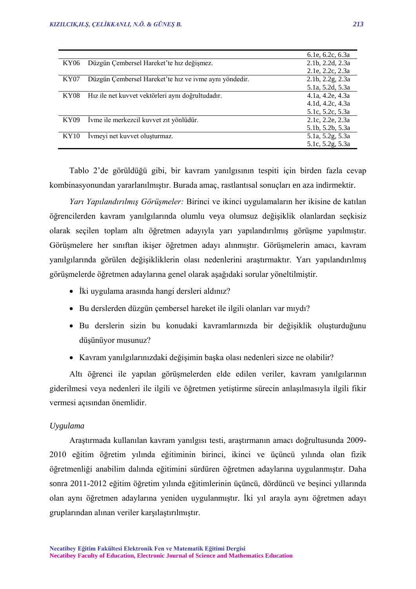|             |                                                        | 6.1e, 6.2c, 6.3a |
|-------------|--------------------------------------------------------|------------------|
| KY06        | Düzgün Çembersel Hareket'te hız değişmez.              | 2.1b, 2.2d, 2.3a |
|             |                                                        | 2.1e, 2.2c, 2.3a |
| <b>KY07</b> | Düzgün Çembersel Hareket'te hız ve ivme aynı yöndedir. | 2.1b, 2.2g, 2.3a |
|             |                                                        | 5.1a, 5.2d, 5.3a |
| <b>KY08</b> | Hız ile net kuvvet vektörleri aynı doğrultudadır.      | 4.1a, 4.2e, 4.3a |
|             |                                                        | 4.1d, 4.2c, 4.3a |
|             |                                                        | 5.1c, 5.2c, 5.3a |
| KY09        | Ivme ile merkezcil kuvvet zit yönlüdür.                | 2.1c, 2.2e, 2.3a |
|             |                                                        | 5.1b, 5.2b, 5.3a |
| KY10        | Ivmeyi net kuvvet oluşturmaz.                          | 5.1a, 5.2g, 5.3a |
|             |                                                        | 5.1c, 5.2g, 5.3a |

Tablo 2'de görüldüğü gibi, bir kavram yanılgısının tespiti için birden fazla cevap kombinasyonundan yararlanılmıştır. Burada amaç, rastlantısal sonuçları en aza indirmektir.

*Yarı Yapılandırılmış Görüşmeler:* Birinci ve ikinci uygulamaların her ikisine de katılan öğrencilerden kavram yanılgılarında olumlu veya olumsuz değişiklik olanlardan seçkisiz olarak seçilen toplam altı öğretmen adayıyla yarı yapılandırılmış görüşme yapılmıştır. Görüşmelere her sınıftan ikişer öğretmen adayı alınmıştır. Görüşmelerin amacı, kavram yanılgılarında görülen değişikliklerin olası nedenlerini araştırmaktır. Yarı yapılandırılmış görüşmelerde öğretmen adaylarına genel olarak aşağıdaki sorular yöneltilmiştir.

- İki uygulama arasında hangi dersleri aldınız?
- Bu derslerden düzgün çembersel hareket ile ilgili olanları var mıydı?
- Bu derslerin sizin bu konudaki kavramlarınızda bir değişiklik oluşturduğunu düşünüyor musunuz?
- Kavram yanılgılarınızdaki değişimin başka olası nedenleri sizce ne olabilir?

Altı öğrenci ile yapılan görüşmelerden elde edilen veriler, kavram yanılgılarının giderilmesi veya nedenleri ile ilgili ve öğretmen yetiştirme sürecin anlaşılmasıyla ilgili fikir vermesi açısından önemlidir.

#### *Uygulama*

Araştırmada kullanılan kavram yanılgısı testi, araştırmanın amacı doğrultusunda 2009- 2010 eğitim öğretim yılında eğitiminin birinci, ikinci ve üçüncü yılında olan fizik öğretmenliği anabilim dalında eğitimini sürdüren öğretmen adaylarına uygulanmıştır. Daha sonra 2011-2012 eğitim öğretim yılında eğitimlerinin üçüncü, dördüncü ve beşinci yıllarında olan aynı öğretmen adaylarına yeniden uygulanmıştır. İki yıl arayla aynı öğretmen adayı gruplarından alınan veriler karşılaştırılmıştır.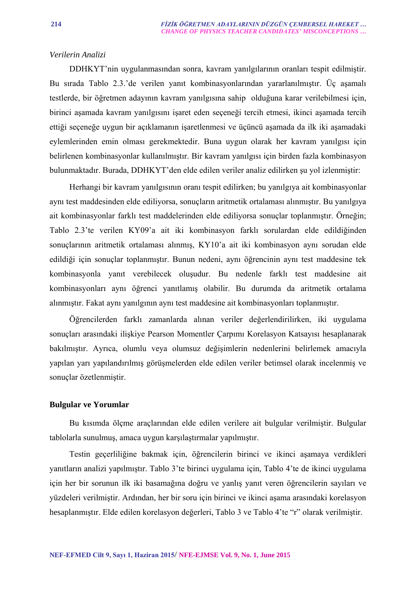#### *Verilerin Analizi*

DDHKYT'nin uygulanmasından sonra, kavram yanılgılarının oranları tespit edilmiştir. Bu sırada Tablo 2.3.'de verilen yanıt kombinasyonlarından yararlanılmıştır. Üç aşamalı testlerde, bir öğretmen adayının kavram yanılgısına sahip olduğuna karar verilebilmesi için, birinci aşamada kavram yanılgısını işaret eden seçeneği tercih etmesi, ikinci aşamada tercih ettiği seçeneğe uygun bir açıklamanın işaretlenmesi ve üçüncü aşamada da ilk iki aşamadaki eylemlerinden emin olması gerekmektedir. Buna uygun olarak her kavram yanılgısı için belirlenen kombinasyonlar kullanılmıştır. Bir kavram yanılgısı için birden fazla kombinasyon bulunmaktadır. Burada, DDHKYT'den elde edilen veriler analiz edilirken şu yol izlenmiştir:

Herhangi bir kavram yanılgısının oranı tespit edilirken; bu yanılgıya ait kombinasyonlar aynı test maddesinden elde ediliyorsa, sonuçların aritmetik ortalaması alınmıştır. Bu yanılgıya ait kombinasyonlar farklı test maddelerinden elde ediliyorsa sonuçlar toplanmıştır. Örneğin; Tablo 2.3'te verilen KY09'a ait iki kombinasyon farklı sorulardan elde edildiğinden sonuçlarının aritmetik ortalaması alınmış, KY10'a ait iki kombinasyon aynı sorudan elde edildiği için sonuçlar toplanmıştır. Bunun nedeni, aynı öğrencinin aynı test maddesine tek kombinasyonla yanıt verebilecek oluşudur. Bu nedenle farklı test maddesine ait kombinasyonları aynı öğrenci yanıtlamış olabilir. Bu durumda da aritmetik ortalama alınmıştır. Fakat aynı yanılgının aynı test maddesine ait kombinasyonları toplanmıştır.

Öğrencilerden farklı zamanlarda alınan veriler değerlendirilirken, iki uygulama sonuçları arasındaki ilişkiye Pearson Momentler Çarpımı Korelasyon Katsayısı hesaplanarak bakılmıştır. Ayrıca, olumlu veya olumsuz değişimlerin nedenlerini belirlemek amacıyla yapılan yarı yapılandırılmış görüşmelerden elde edilen veriler betimsel olarak incelenmiş ve sonuçlar özetlenmiştir.

#### **Bulgular ve Yorumlar**

Bu kısımda ölçme araçlarından elde edilen verilere ait bulgular verilmiştir. Bulgular tablolarla sunulmuş, amaca uygun karşılaştırmalar yapılmıştır.

Testin geçerliliğine bakmak için, öğrencilerin birinci ve ikinci aşamaya verdikleri yanıtların analizi yapılmıştır. Tablo 3'te birinci uygulama için, Tablo 4'te de ikinci uygulama için her bir sorunun ilk iki basamağına doğru ve yanlış yanıt veren öğrencilerin sayıları ve yüzdeleri verilmiştir. Ardından, her bir soru için birinci ve ikinci aşama arasındaki korelasyon hesaplanmıştır. Elde edilen korelasyon değerleri, Tablo 3 ve Tablo 4'te "r" olarak verilmiştir.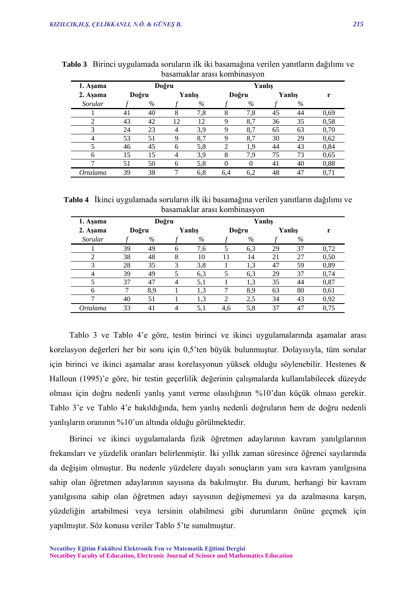| 1. Aşama        |    |       | Doğru  |      |          |      |        |      |      |
|-----------------|----|-------|--------|------|----------|------|--------|------|------|
| 2. Aşama        |    | Doğru | Yanlıs |      | Doğru    |      | Yanlış |      | r    |
| Sorular         |    | $\%$  |        | $\%$ |          | $\%$ |        | $\%$ |      |
|                 | 41 | 40    | 8      | 7,8  | 8        | 7,8  | 45     | 44   | 0.69 |
| $\overline{2}$  | 43 | 42    | 12     | 12   | 9        | 8,7  | 36     | 35   | 0,58 |
| 3               | 24 | 23    | 4      | 3,9  | 9        | 8,7  | 65     | 63   | 0,70 |
| 4               | 53 | 51    | 9      | 8,7  | 9        | 8,7  | 30     | 29   | 0,62 |
| 5               | 46 | 45    | 6      | 5,8  | 2        | 1.9  | 44     | 43   | 0,84 |
| 6               | 15 | 15    | 4      | 3,9  | 8        | 7,9  | 75     | 73   | 0,65 |
| ⇁               | 51 | 50    | 6      | 5,8  | $\theta$ |      | 41     | 40   | 0,88 |
| <b>Ortalama</b> | 39 | 38    |        | 6,8  | 6,4      | 6,2  | 48     | 47   | 0.71 |

**Tablo 3** Birinci uygulamada soruların ilk iki basamağına verilen yanıtların dağılımı ve basamaklar arası kombinasyon

**Tablo 4** İkinci uygulamada soruların ilk iki basamağına verilen yanıtların dağılımı ve basamaklar arası kombinasyon

| 1. Aşama        |    | Doğru |        |      |                |      |        |      |      |
|-----------------|----|-------|--------|------|----------------|------|--------|------|------|
| 2. Aşama        |    | Doğru | Yanlıs |      | Doğru          |      | Yanlıs |      | r    |
| Sorular         |    | %     |        | $\%$ |                | $\%$ |        | $\%$ |      |
|                 | 39 | 49    | 6      | 7.6  |                | 6,3  | 29     | 37   | 0,72 |
| 2               | 38 | 48    | 8      | 10   | 11             | 14   | 21     | 27   | 0,50 |
|                 | 28 | 35    | 3      | 3,8  |                | 1.3  | 47     | 59   | 0,89 |
| 4               | 39 | 49    | 5      | 6,3  | 5              | 6,3  | 29     | 37   | 0,74 |
| 5               | 37 | 47    | 4      | 5.1  |                | 1.3  | 35     | 44   | 0,87 |
| 6               | ┑  | 8,9   |        | 1,3  | 7              | 8,9  | 63     | 80   | 0,61 |
|                 | 40 | 51    |        | 1,3  | $\overline{2}$ | 2,5  | 34     | 43   | 0,92 |
| <i>Ortalama</i> | 33 | 41    | 4      | 5.1  | 4,6            | 5,8  | 37     | 47   | 0,75 |

Tablo 3 ve Tablo 4'e göre, testin birinci ve ikinci uygulamalarında aşamalar arası korelasyon değerleri her bir soru için 0,5'ten büyük bulunmuştur. Dolayısıyla, tüm sorular için birinci ve ikinci aşamalar arası korelasyonun yüksek olduğu söylenebilir. Hestenes & Halloun (1995)'e göre, bir testin geçerlilik değerinin çalışmalarda kullanılabilecek düzeyde olması için doğru nedenli yanlış yanıt verme olasılığının %10'dan küçük olması gerekir. Tablo 3'e ve Tablo 4'e bakıldığında, hem yanlış nedenli doğruların hem de doğru nedenli yanlışların oranının %10'un altında olduğu görülmektedir.

Birinci ve ikinci uygulamalarda fizik öğretmen adaylarının kavram yanılgılarının frekansları ve yüzdelik oranları belirlenmiştir. İki yıllık zaman süresince öğrenci sayılarında da değişim olmuştur. Bu nedenle yüzdelere dayalı sonuçların yanı sıra kavram yanılgısına sahip olan öğretmen adaylarının sayısına da bakılmıştır. Bu durum, herhangi bir kavram yanılgısına sahip olan öğretmen adayı sayısının değişmemesi ya da azalmasına karşın, yüzdeliğin artabilmesi veya tersinin olabilmesi gibi durumların önüne geçmek için yapılmıştır. Söz konusu veriler Tablo 5'te sunulmuştur.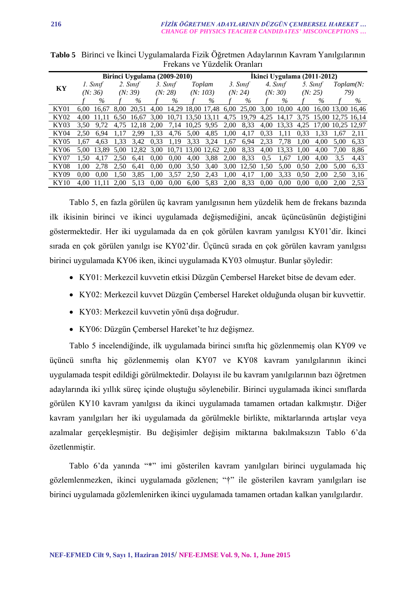| Birinci Uygulama (2009-2010) |      |          |      |          |      |          |                   | İkinci Uygulama (2011-2012) |      |          |      |          |      |                        |                   |                   |
|------------------------------|------|----------|------|----------|------|----------|-------------------|-----------------------------|------|----------|------|----------|------|------------------------|-------------------|-------------------|
| KY                           |      | 1. Sinif |      | 2. Sinif |      | 3. Sinif |                   | Toplam                      |      | 3. Sinif |      | 4. Sinif |      | 5. Sinif               | Toplam(N:         |                   |
|                              |      | (N: 36)  |      | (N: 39)  |      | (N: 28)  |                   | (N: 103)                    |      | (N: 24)  |      | (N: 30)  |      | (N: 25)                |                   | 79)               |
|                              |      | $\%$     |      | $\%$     |      | $\%$     |                   | $\%$                        |      | $\%$     |      | $\%$     |      | $\%$                   |                   | $\%$              |
| KY01                         | 6.00 | 16.67    | 8.00 | 20.51    | 4.00 |          |                   | 14,29 18,00 17,48           | 6.00 | 25,00    | 3.00 | 10.00    | 4.00 |                        |                   | 16.00 13.00 16.46 |
| KY02                         | 4.00 | 11.11    | 6.50 | 16.67    | 3.00 |          | 10,71 13,50 13,11 |                             | 4,75 | 19,79    | 4,25 | 14,17    |      | 3.75 15.00 12.75 16.14 |                   |                   |
| KY03                         | 3.50 | 9.72     | 4.75 | 12.18    | 2.00 | 7.14     | 10,25 9,95        |                             | 2,00 | 8,33     | 4.00 | 13.33    | 4.25 |                        | 17.00 10.25 12.97 |                   |
| KY04                         | 2.50 | 6.94     | 1.17 | 2.99     | 1.33 | 4.76     | 5.00              | 4.85                        | 1.00 | 4.17     | 0.33 | 1.11     | 0.33 | 1.33                   | 1.67              | 2.11              |
| KY05                         | 1.67 | 4.63     | 1.33 | 3.42     | 0.33 | 1.19     | 3,33              | 3,24                        | 1,67 | 6.94     | 2.33 | 7.78     | 1.00 | 4.00                   | 5.00              | 6.33              |
| KY06                         | 5.00 | 13.89    | 5.00 | 12.82    | 3.00 |          |                   | 10,71 13,00 12,62 2,00      |      | 8,33     | 4.00 | 13.33    | 1.00 | 4.00                   | 7.00              | 8.86              |
| KY07                         | 1.50 | 4.17     | 2.50 | 6.41     | 0.00 | 0,00     | 4,00              | 3,88                        | 2,00 | 8,33     | 0.5  | 1.67     | 1,00 | 4.00                   | 3.5               | 4,43              |
| <b>KY08</b>                  | 1.00 | 2.78     | 2,50 | 6.41     | 0.00 | 0,00     | 3,50              | 3,40                        | 3,00 | 12,50    | 1.50 | 5.00     | 0,50 | 2.00                   | 5.00              | 6,33              |
| <b>KY09</b>                  | 0.00 | 0.00     | 1.50 | 3.85     | 1,00 | 3,57     | 2,50              | 2,43                        | 1,00 | 4,17     | 1.00 | 3,33     | 0.50 | 2.00                   | 2.50              | 3,16              |
| KY10                         | 4.00 | 11.11    | 2.00 | 5,13     | 0.00 | 0,00     | 6,00              | 5,83                        | 2,00 | 8,33     | 0,00 | 0.00     | 0.00 | 0.00                   | 2.00              | 2,53              |

**Tablo 5** Birinci ve İkinci Uygulamalarda Fizik Öğretmen Adaylarının Kavram Yanılgılarının Frekans ve Yüzdelik Oranları

Tablo 5, en fazla görülen üç kavram yanılgısının hem yüzdelik hem de frekans bazında ilk ikisinin birinci ve ikinci uygulamada değişmediğini, ancak üçüncüsünün değiştiğini göstermektedir. Her iki uygulamada da en çok görülen kavram yanılgısı KY01'dir. İkinci sırada en çok görülen yanılgı ise KY02'dir. Üçüncü sırada en çok görülen kavram yanılgısı birinci uygulamada KY06 iken, ikinci uygulamada KY03 olmuştur. Bunlar şöyledir:

- KY01: Merkezcil kuvvetin etkisi Düzgün Çembersel Hareket bitse de devam eder.
- KY02: Merkezcil kuvvet Düzgün Çembersel Hareket olduğunda oluşan bir kuvvettir.
- KY03: Merkezcil kuvvetin yönü dışa doğrudur.
- KY06: Düzgün Çembersel Hareket'te hız değişmez.

Tablo 5 incelendiğinde, ilk uygulamada birinci sınıfta hiç gözlenmemiş olan KY09 ve üçüncü sınıfta hiç gözlenmemiş olan KY07 ve KY08 kavram yanılgılarının ikinci uygulamada tespit edildiği görülmektedir. Dolayısı ile bu kavram yanılgılarının bazı öğretmen adaylarında iki yıllık süreç içinde oluştuğu söylenebilir. Birinci uygulamada ikinci sınıflarda görülen KY10 kavram yanılgısı da ikinci uygulamada tamamen ortadan kalkmıştır. Diğer kavram yanılgıları her iki uygulamada da görülmekle birlikte, miktarlarında artışlar veya azalmalar gerçekleşmiştir. Bu değişimler değişim miktarına bakılmaksızın Tablo 6'da özetlenmiştir.

Tablo 6'da yanında "\*" imi gösterilen kavram yanılgıları birinci uygulamada hiç gözlemlenmezken, ikinci uygulamada gözlenen; "†" ile gösterilen kavram yanılgıları ise birinci uygulamada gözlemlenirken ikinci uygulamada tamamen ortadan kalkan yanılgılardır.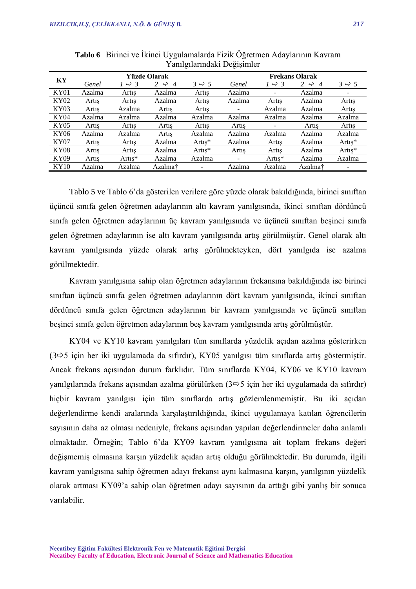| KY          |        |                       | <b>Yüzde Olarak</b>                              |                       | <b>Frekans Olarak</b>    |                 |                                   |                          |  |  |
|-------------|--------|-----------------------|--------------------------------------------------|-----------------------|--------------------------|-----------------|-----------------------------------|--------------------------|--|--|
|             | Genel  | $1 \Leftrightarrow 3$ | $\mathcal{P}$<br>$\Rightarrow$<br>$\overline{4}$ | $3 \Leftrightarrow 5$ | Genel                    | $\Rightarrow$ 3 | 2 $\Rightarrow$<br>$\overline{4}$ | $3 \Leftrightarrow 5$    |  |  |
| KY01        | Azalma | Artis                 | Azalma                                           | Artis                 | Azalma                   | -               | Azalma                            | $\overline{\phantom{a}}$ |  |  |
| KY02        | Artis  | Artis                 | Azalma                                           | Artis                 | Azalma                   | Artis           | Azalma                            | Artis                    |  |  |
| KY03        | Artis  | Azalma                | Artis                                            | Artis                 | $\overline{\phantom{0}}$ | Azalma          | Azalma                            | Artis                    |  |  |
| KY04        | Azalma | Azalma                | Azalma                                           | Azalma                | Azalma                   | Azalma          | Azalma                            | Azalma                   |  |  |
| <b>KY05</b> | Artis  | Artis                 | Artis                                            | Artis                 | Artis                    | -               | Artis                             | Artis                    |  |  |
| KY06        | Azalma | Azalma                | Artis                                            | Azalma                | Azalma                   | Azalma          | Azalma                            | Azalma                   |  |  |
| KY07        | Artis  | Artis                 | Azalma                                           | Artis $*$             | Azalma                   | Artis           | Azalma                            | Artis*                   |  |  |
| <b>KY08</b> | Artis  | Artis                 | Azalma                                           | Artis*                | Artis                    | Artis           | Azalma                            | Artis*                   |  |  |
| KY09        | Artis  | Artis $*$             | Azalma                                           | Azalma                | -                        | Artis*          | Azalma                            | Azalma                   |  |  |
| <b>KY10</b> | Azalma | Azalma                | Azalmat                                          | ۰                     | Azalma                   | Azalma          | Azalmat                           | $\overline{\phantom{a}}$ |  |  |

**Tablo 6** Birinci ve İkinci Uygulamalarda Fizik Öğretmen Adaylarının Kavram Yanılgılarındaki Değişimler

Tablo 5 ve Tablo 6'da gösterilen verilere göre yüzde olarak bakıldığında, birinci sınıftan üçüncü sınıfa gelen öğretmen adaylarının altı kavram yanılgısında, ikinci sınıftan dördüncü sınıfa gelen öğretmen adaylarının üç kavram yanılgısında ve üçüncü sınıftan beşinci sınıfa gelen öğretmen adaylarının ise altı kavram yanılgısında artış görülmüştür. Genel olarak altı kavram yanılgısında yüzde olarak artış görülmekteyken, dört yanılgıda ise azalma görülmektedir.

Kavram yanılgısına sahip olan öğretmen adaylarının frekansına bakıldığında ise birinci sınıftan üçüncü sınıfa gelen öğretmen adaylarının dört kavram yanılgısında, ikinci sınıftan dördüncü sınıfa gelen öğretmen adaylarının bir kavram yanılgısında ve üçüncü sınıftan beşinci sınıfa gelen öğretmen adaylarının beş kavram yanılgısında artış görülmüştür.

KY04 ve KY10 kavram yanılgıları tüm sınıflarda yüzdelik açıdan azalma gösterirken  $(3\Rightarrow 5$  için her iki uygulamada da sıfırdır), KY05 yanılgısı tüm sınıflarda artış göstermiştir. Ancak frekans açısından durum farklıdır. Tüm sınıflarda KY04, KY06 ve KY10 kavram yanılgılarında frekans açısından azalma görülürken  $(3 \Rightarrow 5)$  için her iki uygulamada da sıfırdır) hiçbir kavram yanılgısı için tüm sınıflarda artış gözlemlenmemiştir. Bu iki açıdan değerlendirme kendi aralarında karşılaştırıldığında, ikinci uygulamaya katılan öğrencilerin sayısının daha az olması nedeniyle, frekans açısından yapılan değerlendirmeler daha anlamlı olmaktadır. Örneğin; Tablo 6'da KY09 kavram yanılgısına ait toplam frekans değeri değişmemiş olmasına karşın yüzdelik açıdan artış olduğu görülmektedir. Bu durumda, ilgili kavram yanılgısına sahip öğretmen adayı frekansı aynı kalmasına karşın, yanılgının yüzdelik olarak artması KY09'a sahip olan öğretmen adayı sayısının da arttığı gibi yanlış bir sonuca varılabilir.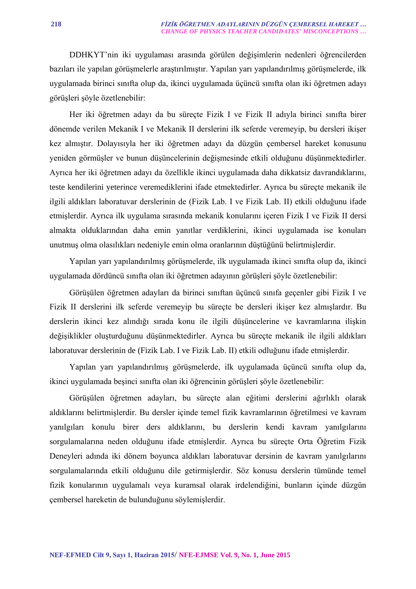DDHKYT'nin iki uygulaması arasında görülen değişimlerin nedenleri öğrencilerden bazıları ile yapılan görüşmelerle araştırılmıştır. Yapılan yarı yapılandırılmış görüşmelerde, ilk uygulamada birinci sınıfta olup da, ikinci uygulamada üçüncü sınıfta olan iki öğretmen adayı görüşleri şöyle özetlenebilir:

Her iki öğretmen adayı da bu süreçte Fizik I ve Fizik II adıyla birinci sınıfta birer dönemde verilen Mekanik I ve Mekanik II derslerini ilk seferde veremeyip, bu dersleri ikişer kez almıştır. Dolayısıyla her iki öğretmen adayı da düzgün çembersel hareket konusunu yeniden görmüşler ve bunun düşüncelerinin değişmesinde etkili olduğunu düşünmektedirler. Ayrıca her iki öğretmen adayı da özellikle ikinci uygulamada daha dikkatsiz davrandıklarını, teste kendilerini yeterince veremediklerini ifade etmektedirler. Ayrıca bu süreçte mekanik ile ilgili aldıkları laboratuvar derslerinin de (Fizik Lab. I ve Fizik Lab. II) etkili olduğunu ifade etmişlerdir. Ayrıca ilk uygulama sırasında mekanik konularını içeren Fizik I ve Fizik II dersi almakta olduklarından daha emin yanıtlar verdiklerini, ikinci uygulamada ise konuları unutmuş olma olasılıkları nedeniyle emin olma oranlarının düştüğünü belirtmişlerdir.

Yapılan yarı yapılandırılmış görüşmelerde, ilk uygulamada ikinci sınıfta olup da, ikinci uygulamada dördüncü sınıfta olan iki öğretmen adayının görüşleri şöyle özetlenebilir:

Görüşülen öğretmen adayları da birinci sınıftan üçüncü sınıfa geçenler gibi Fizik I ve Fizik II derslerini ilk seferde veremeyip bu süreçte be dersleri ikişer kez almışlardır. Bu derslerin ikinci kez alındığı sırada konu ile ilgili düşüncelerine ve kavramlarına ilişkin değişiklikler oluşturduğunu düşünmektedirler. Ayrıca bu süreçte mekanik ile ilgili aldıkları laboratuvar derslerinin de (Fizik Lab. I ve Fizik Lab. II) etkili odluğunu ifade etmişlerdir.

Yapılan yarı yapılandırılmış görüşmelerde, ilk uygulamada üçüncü sınıfta olup da, ikinci uygulamada beşinci sınıfta olan iki öğrencinin görüşleri şöyle özetlenebilir:

Görüşülen öğretmen adayları, bu süreçte alan eğitimi derslerini ağırlıklı olarak aldıklarını belirtmişlerdir. Bu dersler içinde temel fizik kavramlarının öğretilmesi ve kavram yanılgıları konulu birer ders aldıklarını, bu derslerin kendi kavram yanılgılarını sorgulamalarına neden olduğunu ifade etmişlerdir. Ayrıca bu süreçte Orta Öğretim Fizik Deneyleri adında iki dönem boyunca aldıkları laboratuvar dersinin de kavram yanılgılarını sorgulamalarında etkili olduğunu dile getirmişlerdir. Söz konusu derslerin tümünde temel fizik konularının uygulamalı veya kuramsal olarak irdelendiğini, bunların içinde düzgün çembersel hareketin de bulunduğunu söylemişlerdir.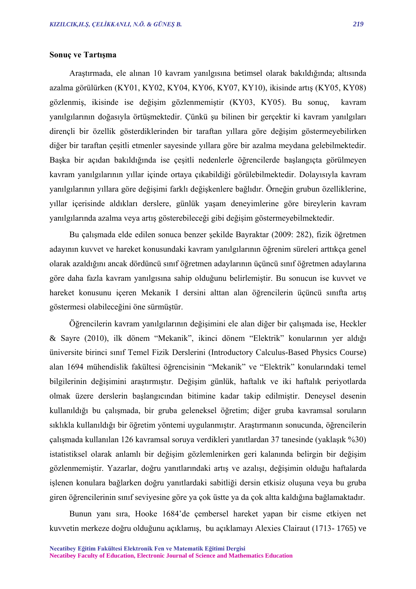#### **Sonuç ve Tartışma**

Araştırmada, ele alınan 10 kavram yanılgısına betimsel olarak bakıldığında; altısında azalma görülürken (KY01, KY02, KY04, KY06, KY07, KY10), ikisinde artış (KY05, KY08) gözlenmiş, ikisinde ise değişim gözlenmemiştir (KY03, KY05). Bu sonuç, kavram yanılgılarının doğasıyla örtüşmektedir. Çünkü şu bilinen bir gerçektir ki kavram yanılgıları dirençli bir özellik gösterdiklerinden bir taraftan yıllara göre değişim göstermeyebilirken diğer bir taraftan çeşitli etmenler sayesinde yıllara göre bir azalma meydana gelebilmektedir. Başka bir açıdan bakıldığında ise çeşitli nedenlerle öğrencilerde başlangıçta görülmeyen kavram yanılgılarının yıllar içinde ortaya çıkabildiği görülebilmektedir. Dolayısıyla kavram yanılgılarının yıllara göre değişimi farklı değişkenlere bağlıdır. Örneğin grubun özelliklerine, yıllar içerisinde aldıkları derslere, günlük yaşam deneyimlerine göre bireylerin kavram yanılgılarında azalma veya artış gösterebileceği gibi değişim göstermeyebilmektedir.

Bu çalışmada elde edilen sonuca benzer şekilde Bayraktar (2009: 282), fizik öğretmen adayının kuvvet ve hareket konusundaki kavram yanılgılarının öğrenim süreleri arttıkça genel olarak azaldığını ancak dördüncü sınıf öğretmen adaylarının üçüncü sınıf öğretmen adaylarına göre daha fazla kavram yanılgısına sahip olduğunu belirlemiştir. Bu sonucun ise kuvvet ve hareket konusunu içeren Mekanik I dersini alttan alan öğrencilerin üçüncü sınıfta artış göstermesi olabileceğini öne sürmüştür.

Öğrencilerin kavram yanılgılarının değişimini ele alan diğer bir çalışmada ise, Heckler & Sayre (2010), ilk dönem "Mekanik", ikinci dönem "Elektrik" konularının yer aldığı üniversite birinci sınıf Temel Fizik Derslerini (Introductory Calculus-Based Physics Course) alan 1694 mühendislik fakültesi öğrencisinin "Mekanik" ve "Elektrik" konularındaki temel bilgilerinin değişimini araştırmıştır. Değişim günlük, haftalık ve iki haftalık periyotlarda olmak üzere derslerin başlangıcından bitimine kadar takip edilmiştir. Deneysel desenin kullanıldığı bu çalışmada, bir gruba geleneksel öğretim; diğer gruba kavramsal soruların sıklıkla kullanıldığı bir öğretim yöntemi uygulanmıştır. Araştırmanın sonucunda, öğrencilerin çalışmada kullanılan 126 kavramsal soruya verdikleri yanıtlardan 37 tanesinde (yaklaşık %30) istatistiksel olarak anlamlı bir değişim gözlemlenirken geri kalanında belirgin bir değişim gözlenmemiştir. Yazarlar, doğru yanıtlarındaki artış ve azalışı, değişimin olduğu haftalarda işlenen konulara bağlarken doğru yanıtlardaki sabitliği dersin etkisiz oluşuna veya bu gruba giren öğrencilerinin sınıf seviyesine göre ya çok üstte ya da çok altta kaldığına bağlamaktadır.

Bunun yanı sıra, Hooke 1684'de çembersel hareket yapan bir cisme etkiyen net kuvvetin merkeze doğru olduğunu açıklamış, bu açıklamayı Alexies Clairaut (1713- 1765) ve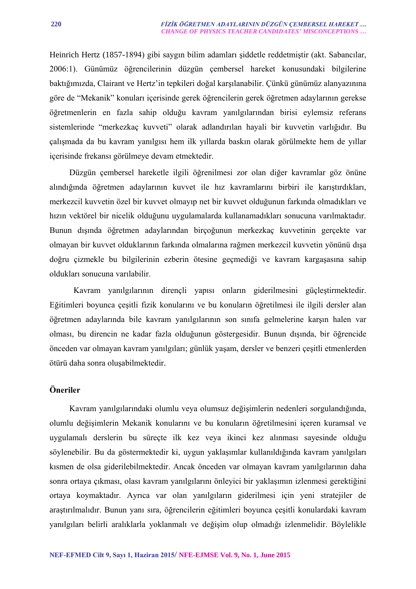Heinrich Hertz (1857-1894) gibi saygın bilim adamları şiddetle reddetmiştir (akt. Sabancılar, 2006:1). Günümüz öğrencilerinin düzgün çembersel hareket konusundaki bilgilerine baktığımızda, Clairant ve Hertz'in tepkileri doğal karşılanabilir. Çünkü günümüz alanyazınına göre de "Mekanik" konuları içerisinde gerek öğrencilerin gerek öğretmen adaylarının gerekse öğretmenlerin en fazla sahip olduğu kavram yanılgılarından birisi eylemsiz referans sistemlerinde "merkezkaç kuvveti" olarak adlandırılan hayali bir kuvvetin varlığıdır. Bu çalışmada da bu kavram yanılgısı hem ilk yıllarda baskın olarak görülmekte hem de yıllar içerisinde frekansı görülmeye devam etmektedir.

Düzgün çembersel hareketle ilgili öğrenilmesi zor olan diğer kavramlar göz önüne alındığında öğretmen adaylarının kuvvet ile hız kavramlarını birbiri ile karıştırdıkları, merkezcil kuvvetin özel bir kuvvet olmayıp net bir kuvvet olduğunun farkında olmadıkları ve hızın vektörel bir nicelik olduğunu uygulamalarda kullanamadıkları sonucuna varılmaktadır. Bunun dışında öğretmen adaylarından birçoğunun merkezkaç kuvvetinin gerçekte var olmayan bir kuvvet olduklarının farkında olmalarına rağmen merkezcil kuvvetin yönünü dışa doğru çizmekle bu bilgilerinin ezberin ötesine geçmediği ve kavram kargaşasına sahip oldukları sonucuna varılabilir.

 Kavram yanılgılarının dirençli yapısı onların giderilmesini güçleştirmektedir. Eğitimleri boyunca çeşitli fizik konularını ve bu konuların öğretilmesi ile ilgili dersler alan öğretmen adaylarında bile kavram yanılgılarının son sınıfa gelmelerine karşın halen var olması, bu direncin ne kadar fazla olduğunun göstergesidir. Bunun dışında, bir öğrencide önceden var olmayan kavram yanılgıları; günlük yaşam, dersler ve benzeri çeşitli etmenlerden ötürü daha sonra oluşabilmektedir.

### **Öneriler**

Kavram yanılgılarındaki olumlu veya olumsuz değişimlerin nedenleri sorgulandığında, olumlu değişimlerin Mekanik konularını ve bu konuların öğretilmesini içeren kuramsal ve uygulamalı derslerin bu süreçte ilk kez veya ikinci kez alınması sayesinde olduğu söylenebilir. Bu da göstermektedir ki, uygun yaklaşımlar kullanıldığında kavram yanılgıları kısmen de olsa giderilebilmektedir. Ancak önceden var olmayan kavram yanılgılarının daha sonra ortaya çıkması, olası kavram yanılgılarını önleyici bir yaklaşımın izlenmesi gerektiğini ortaya koymaktadır. Ayrıca var olan yanılgıların giderilmesi için yeni stratejiler de araştırılmalıdır. Bunun yanı sıra, öğrencilerin eğitimleri boyunca çeşitli konulardaki kavram yanılgıları belirli aralıklarla yoklanmalı ve değişim olup olmadığı izlenmelidir. Böylelikle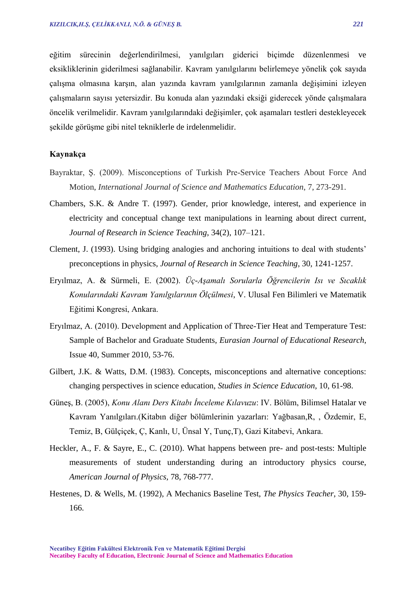eğitim sürecinin değerlendirilmesi, yanılgıları giderici biçimde düzenlenmesi ve eksikliklerinin giderilmesi sağlanabilir. Kavram yanılgılarını belirlemeye yönelik çok sayıda çalışma olmasına karşın, alan yazında kavram yanılgılarının zamanla değişimini izleyen çalışmaların sayısı yetersizdir. Bu konuda alan yazındaki eksiği giderecek yönde çalışmalara öncelik verilmelidir. Kavram yanılgılarındaki değişimler, çok aşamaları testleri destekleyecek şekilde görüşme gibi nitel tekniklerle de irdelenmelidir.

#### **Kaynakça**

- Bayraktar, Ş. (2009). Misconceptions of Turkish Pre-Service Teachers About Force And Motion, *International Journal of Science and Mathematics Education*, 7, 273-291.
- Chambers, S.K. & Andre T. (1997). Gender, prior knowledge, interest, and experience in electricity and conceptual change text manipulations in learning about direct current, *Journal of Research in Science Teaching*, 34(2), 107–121.
- Clement, J. (1993). Using bridging analogies and anchoring intuitions to deal with students' preconceptions in physics, *Journal of Research in Science Teaching*, 30, 1241-1257.
- Eryılmaz, A. & Sürmeli, E. (2002). *Üç-Aşamalı Sorularla Öğrencilerin Isı ve Sıcaklık Konularındaki Kavram Yanılgılarının Ölçülmesi*, V. Ulusal Fen Bilimleri ve Matematik Eğitimi Kongresi, Ankara.
- Eryılmaz, A. (2010). Development and Application of Three-Tier Heat and Temperature Test: Sample of Bachelor and Graduate Students, *Eurasian Journal of Educational Research*, Issue 40, Summer 2010, 53-76.
- Gilbert, J.K. & Watts, D.M. (1983). Concepts, misconceptions and alternative conceptions: changing perspectives in science education, *Studies in Science Education*, 10, 61-98.
- Güneş, B. (2005), *Konu Alanı Ders Kitabı İnceleme Kılavuzu*: IV. Bölüm, Bilimsel Hatalar ve Kavram Yanılgıları.(Kitabın diğer bölümlerinin yazarları: Yağbasan,R, , Özdemir, E, Temiz, B, Gülçiçek, Ç, Kanlı, U, Ünsal Y, Tunç,T), Gazi Kitabevi, Ankara.
- Heckler, A., F. & Sayre, E., C. (2010). What happens between pre- and post-tests: Multiple measurements of student understanding during an introductory physics course, *American Journal of Physics,* 78, 768-777.
- Hestenes, D. & Wells, M. (1992), A Mechanics Baseline Test, *The Physics Teacher*, 30, 159- 166.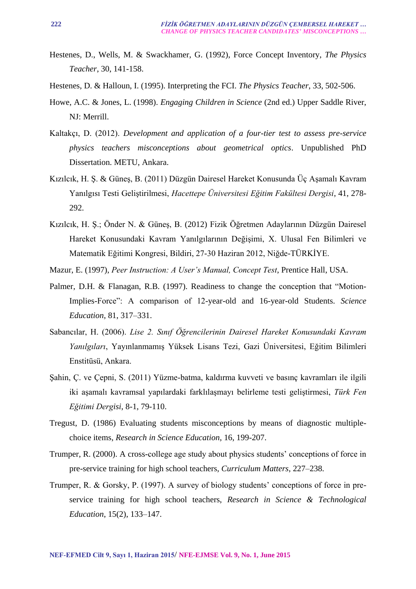- Hestenes, D., Wells, M. & Swackhamer, G. (1992), Force Concept Inventory, *The Physics Teacher*, 30, 141-158.
- Hestenes, D. & Halloun, I. (1995). Interpreting the FCI. *The Physics Teacher*, 33, 502-506.
- Howe, A.C. & Jones, L. (1998). *Engaging Children in Science* (2nd ed.) Upper Saddle River, NJ: Merrill.
- Kaltakçı, D. (2012). *Development and application of a four-tier test to assess pre-service physics teachers misconceptions about geometrical optics*. Unpublished PhD Dissertation. METU, Ankara.
- Kızılcık, H. Ş. & Güneş, B. (2011) Düzgün Dairesel Hareket Konusunda Üç Aşamalı Kavram Yanılgısı Testi Geliştirilmesi, *Hacettepe Üniversitesi Eğitim Fakültesi Dergisi*, 41, 278- 292.
- Kızılcık, H. Ş.; Önder N. & Güneş, B. (2012) Fizik Öğretmen Adaylarının Düzgün Dairesel Hareket Konusundaki Kavram Yanılgılarının Değişimi, X. Ulusal Fen Bilimleri ve Matematik Eğitimi Kongresi, Bildiri, 27-30 Haziran 2012, Niğde-TÜRKİYE.
- Mazur, E. (1997), *Peer Instruction: A User's Manual, Concept Test*, Prentice Hall, USA.
- Palmer, D.H. & Flanagan, R.B. (1997). Readiness to change the conception that "Motion-Implies-Force": A comparison of 12-year-old and 16-year-old Students. *Science Education*, 81, 317–331.
- Sabancılar, H. (2006). *Lise 2. Sınıf Öğrencilerinin Dairesel Hareket Konusundaki Kavram Yanılgıları*, Yayınlanmamış Yüksek Lisans Tezi, Gazi Üniversitesi, Eğitim Bilimleri Enstitüsü, Ankara.
- Şahin, Ç. ve Çepni, S. (2011) Yüzme-batma, kaldırma kuvveti ve basınç kavramları ile ilgili iki aşamalı kavramsal yapılardaki farklılaşmayı belirleme testi geliştirmesi, *Türk Fen Eğitimi Dergisi*, 8-1, 79-110.
- Tregust, D. (1986) Evaluating students misconceptions by means of diagnostic multiplechoice items, *Research in Science Education*, 16, 199-207.
- Trumper, R. (2000). A cross-college age study about physics students' conceptions of force in pre-service training for high school teachers, *Curriculum Matters*, 227–238.
- Trumper, R. & Gorsky, P. (1997). A survey of biology students' conceptions of force in preservice training for high school teachers, *Research in Science & Technological Education*, 15(2), 133–147.